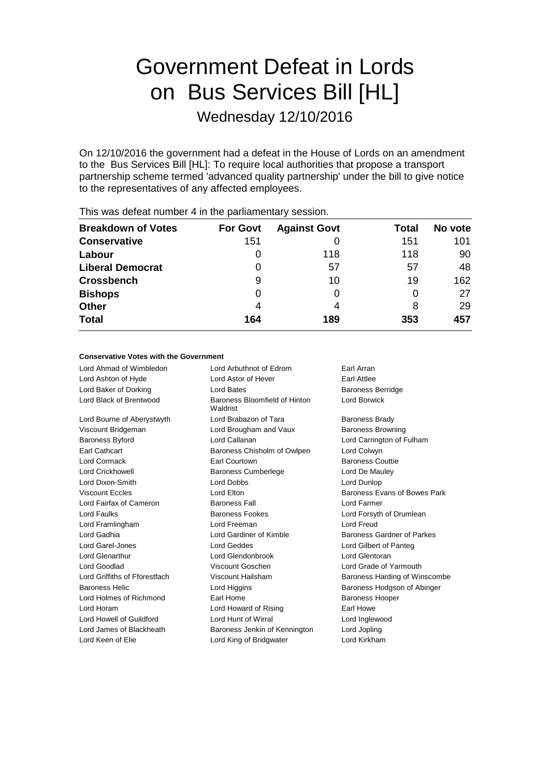# Government Defeat in Lords on Bus Services Bill [HL]

Wednesday 12/10/2016

On 12/10/2016 the government had a defeat in the House of Lords on an amendment to the Bus Services Bill [HL]: To require local authorities that propose a transport partnership scheme termed 'advanced quality partnership' under the bill to give notice to the representatives of any affected employees.

| <b>Breakdown of Votes</b> | <b>For Govt</b> | <b>Against Govt</b> | <b>Total</b> | No vote |
|---------------------------|-----------------|---------------------|--------------|---------|
| <b>Conservative</b>       | 151             |                     | 151          | 101     |
| Labour                    | O               | 118                 | 118          | 90      |
| <b>Liberal Democrat</b>   | 0               | 57                  | 57           | 48      |
| <b>Crossbench</b>         | 9               | 10                  | 19           | 162     |
| <b>Bishops</b>            | $\Omega$        |                     | 0            | 27      |
| <b>Other</b>              | 4               | 4                   | 8            | 29      |
| <b>Total</b>              | 164             | 189                 | 353          | 457     |
|                           |                 |                     |              |         |

This was defeat number 4 in the parliamentary session.

### **Conservative Votes with the Government**

Lord Ahmad of Wimbledon Lord Arbuthnot of Edrom Earl Arran Lord Ashton of Hyde **Lord Astor of Hever** Earl Attlee Lord Baker of Dorking **Community** Lord Bates **Baroness Berridge** Lord Black of Brentwood Baroness Bloomfield of Hinton Waldrist Lord Borwick Lord Bourne of Aberystwyth **Lord Brabazon of Tara** Baroness Brady Viscount Bridgeman **Lord Brougham and Vaux** Baroness Browning Baroness Byford Lord Callanan Lord Carrington of Fulham Earl Cathcart Baroness Chisholm of Owlpen Lord Colwyn Lord Cormack Earl Courtown Baroness Couttie Lord Crickhowell Baroness Cumberlege Lord De Mauley Lord Dixon-Smith Lord Dobbs Lord Dunlop Viscount Eccles **Lord Elton** Lord Elton Baroness Evans of Bowes Park Lord Fairfax of Cameron Baroness Fall Lord Farmer Lord Faulks Baroness Fookes Lord Forsyth of Drumlean Lord Framlingham Lord Freeman Lord Freud Lord Gadhia **Lord Gardiner of Kimble** Baroness Gardner of Parkes Lord Garel-Jones Lord Geddes Lord Gilbert of Panteg Lord Glenarthur Lord Glendonbrook Lord Glentoran Lord Goodlad Viscount Goschen Lord Grade of Yarmouth Lord Griffiths of Fforestfach Viscount Hailsham Baroness Harding of Winscombe Baroness Helic **Lord Higgins** Lord Higgins Baroness Hodgson of Abinger Lord Holmes of Richmond Earl Home Earl Home Baroness Hooper Lord Horam **Lord Howard of Rising Farl Howe** Lord Howell of Guildford Lord Hunt of Wirral Lord Inglewood Lord James of Blackheath Baroness Jenkin of Kennington Lord Jopling Lord Keen of Elie **Lord King of Bridgwater** Lord Kirkham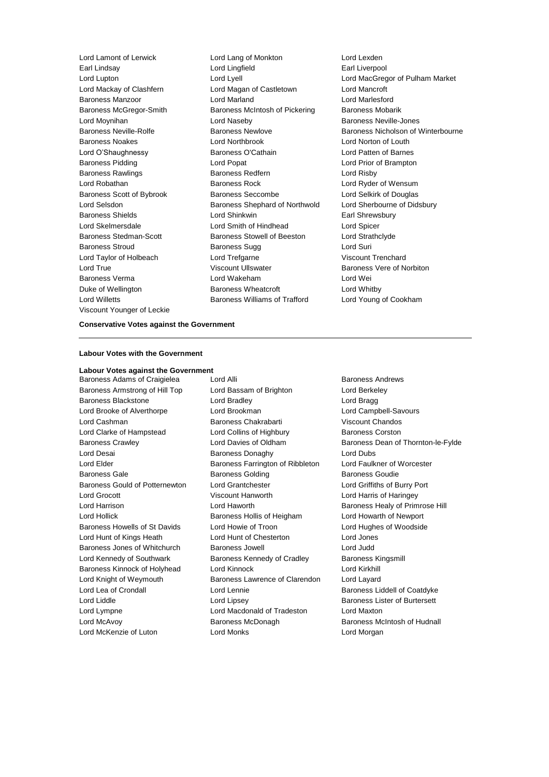Lord Willetts Baroness Williams of Trafford Lord Young of Cookham Viscount Younger of Leckie

Lord Lamont of Lerwick Lord Lang of Monkton Lord Lexden Earl Lindsay Lord Lingfield Earl Liverpool Lord Mackay of Clashfern Lord Magan of Castletown Lord Mancroft Baroness Manzoor Lord Marland Lord Marlesford Baroness McGregor-Smith Baroness McIntosh of Pickering Baroness Mobarik Lord Moynihan Lord Naseby Baroness Neville-Jones Baroness Noakes Lord Northbrook Lord Norton of Louth Lord O'Shaughnessy Baroness O'Cathain Lord Patten of Barnes Baroness Pidding Lord Popat Lord Prior of Brampton Baroness Rawlings **Baroness Redfern** Baroness Redfern **Lord Risby** Lord Robathan Baroness Rock Lord Ryder of Wensum Baroness Scott of Bybrook Baroness Seccombe Lord Selkirk of Douglas Lord Selsdon Baroness Shephard of Northwold Lord Sherbourne of Didsbury Baroness Shields **Lord Shinkwin** Earl Shrewsbury Lord Skelmersdale Lord Smith of Hindhead Lord Spicer Baroness Stedman-Scott **Baroness Stowell of Beeston** Lord Strathclyde Baroness Stroud **Baroness Sugg Community** Baroness Sugg **Lord Suri** Lord Taylor of Holbeach **Lord Trefgarne** Cord Trefgarne Viscount Trenchard Lord True **Contains Community** Viscount Ullswater Communist Charoness Vere of Norbiton Baroness Verma Lord Wakeham Lord Wei Duke of Wellington **Baroness Wheatcroft Lord Whitby** 

Lord Lupton Lord Lyell Lord MacGregor of Pulham Market Baroness Neville-Rolfe **Baroness Newlove** Baroness Newlove **Baroness Nicholson of Winterbourne** 

#### **Conservative Votes against the Government**

#### **Labour Votes with the Government**

**Labour Votes against the Government** Baroness Adams of Craigielea Lord Alli Lord Elli Baroness Andrews Baroness Armstrong of Hill Top Lord Bassam of Brighton Lord Berkeley Baroness Blackstone Lord Bradley Lord Bragg Lord Brooke of Alverthorpe Lord Brookman Lord Campbell-Savours Lord Cashman Baroness Chakrabarti Viscount Chandos Lord Clarke of Hampstead Lord Collins of Highbury Baroness Corston Lord Desai **Baroness Donaghy** Lord Dubs Lord Dubs Lord Elder **Baroness Farrington of Ribbleton** Lord Faulkner of Worcester Baroness Gale **Baroness Golding** Baroness Golding Baroness Goudie Baroness Gould of Potternewton Lord Grantchester Lord Griffiths of Burry Port Lord Grocott Viscount Hanworth Lord Harris of Haringey Lord Harrison **Lord Haworth** Baroness Healy of Primrose Hill Lord Hollick Baroness Hollis of Heigham Lord Howarth of Newport Baroness Howells of St Davids Lord Howie of Troon Lord Hughes of Woodside Lord Hunt of Kings Heath Lord Hunt of Chesterton Lord Jones Baroness Jones of Whitchurch Baroness Jowell Lord Judd Lord Kennedy of Southwark Baroness Kennedy of Cradley Baroness Kingsmill Baroness Kinnock of Holyhead Lord Kinnock Lord Kirkhill Lord Knight of Weymouth Baroness Lawrence of Clarendon Lord Layard Lord Lea of Crondall **Lord Lennie** Lord Lennie **Baroness Liddell of Coatdyke** Lord Liddle **Lord Lipsey** Lord Lipsey **Baroness Lister of Burtersett** Lord Lympne Lord Macdonald of Tradeston Lord Maxton Lord McAvoy Baroness McDonagh Baroness McIntosh of Hudnall Lord McKenzie of Luton Lord Monks Lord Morgan

Baroness Crawley **Carroll Crawley** Lord Davies of Oldham Baroness Dean of Thornton-le-Fylde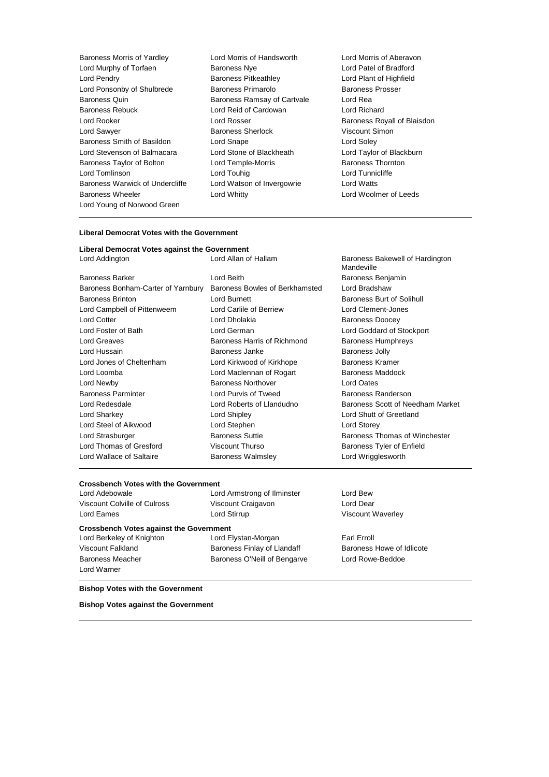- Baroness Morris of Yardley **Lord Morris of Handsworth Cord Morris of Aberavon**<br>
Lord Murphy of Torfaen **Corporation Baroness Nye** Lord Patel of Bradford Lord Murphy of Torfaen **Baroness Nye** Lord Patel of Bradford<br>
Lord Pendry **Baroness Pitkeathley** Lord Plant of Highfield Lord Pendry **Baroness Pitkeathley** Lord Ponsonby of Shulbrede **Baroness Primarolo** Baroness Prosser Baroness Quin Baroness Ramsay of Cartvale Lord Rea Baroness Rebuck Lord Reid of Cardowan Lord Richard Lord Rooker **Lord Rosser** Communications Communications Coronavia Communications Royall of Blaisdon Lord Sawyer **Baroness Sherlock** Viscount Simon Baroness Smith of Basildon Lord Snape Lord Soley Lord Stevenson of Balmacara Lord Stone of Blackheath Lord Taylor of Blackburn Baroness Taylor of Bolton Lord Temple-Morris **Baroness Thornton** Lord Tomlinson Lord Touhig Lord Tunnicliffe Baroness Warwick of Undercliffe Lord Watson of Invergowrie Lord Watts Baroness Wheeler **Lord Whitty Lord Whitty Lord Woolmer of Leeds** Lord Young of Norwood Green
	-
- 

#### **Liberal Democrat Votes with the Government**

| Liberal Democrat Votes against the Government |                                |                                               |  |
|-----------------------------------------------|--------------------------------|-----------------------------------------------|--|
| Lord Addington                                | Lord Allan of Hallam           | Baroness Bakewell of Hardington<br>Mandeville |  |
| <b>Baroness Barker</b>                        | Lord Beith                     | Baroness Benjamin                             |  |
| Baroness Bonham-Carter of Yarnbury            | Baroness Bowles of Berkhamsted | Lord Bradshaw                                 |  |
| <b>Baroness Brinton</b>                       | Lord Burnett                   | Baroness Burt of Solihull                     |  |
| Lord Campbell of Pittenweem                   | Lord Carlile of Berriew        | Lord Clement-Jones                            |  |
| <b>Lord Cotter</b>                            | Lord Dholakia                  | <b>Baroness Doocey</b>                        |  |
| Lord Foster of Bath                           | Lord German                    | Lord Goddard of Stockport                     |  |
| Lord Greaves                                  | Baroness Harris of Richmond    | <b>Baroness Humphreys</b>                     |  |
| Lord Hussain                                  | Baroness Janke                 | <b>Baroness Jolly</b>                         |  |
| Lord Jones of Cheltenham                      | Lord Kirkwood of Kirkhope      | <b>Baroness Kramer</b>                        |  |
| Lord Loomba                                   | Lord Maclennan of Rogart       | <b>Baroness Maddock</b>                       |  |
| Lord Newby                                    | Baroness Northover             | Lord Oates                                    |  |
| <b>Baroness Parminter</b>                     | Lord Purvis of Tweed           | Baroness Randerson                            |  |
| Lord Redesdale                                | Lord Roberts of Llandudno      | Baroness Scott of Needham Market              |  |
| Lord Sharkey                                  | Lord Shipley                   | Lord Shutt of Greetland                       |  |
| Lord Steel of Aikwood                         | Lord Stephen                   | Lord Storey                                   |  |
| Lord Strasburger                              | <b>Baroness Suttie</b>         | Baroness Thomas of Winchester                 |  |
| Lord Thomas of Gresford<br>Viscount Thurso    |                                | Baroness Tyler of Enfield                     |  |
| Lord Wallace of Saltaire                      | <b>Baroness Walmsley</b>       | Lord Wrigglesworth                            |  |

## **Crossbench Votes with the Government**

Viscount Colville of Culross Viscount Craigavon Lord Dear

Lord Adebowale Lord Armstrong of Ilminster Lord Bew Lord Eames **Lord Stirrup Lord Stirrup Viscount Waverley** 

**Crossbench Votes against the Government** Lord Berkeley of Knighton **Lord Elystan-Morgan** Earl Erroll Viscount Falkland **Baroness Finlay of Llandaff** Baroness Howe of Idlicote Baroness Meacher **Baroness O'Neill of Bengarve** Lord Rowe-Beddoe Lord Warner

#### **Bishop Votes with the Government**

**Bishop Votes against the Government**